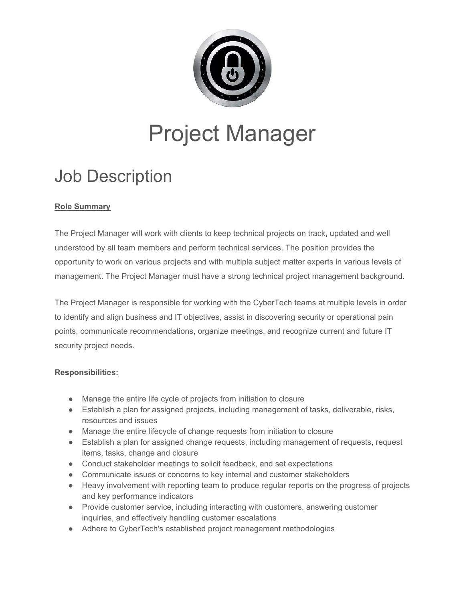

# Project Manager

# Job Description

## **Role Summary**

The Project Manager will work with clients to keep technical projects on track, updated and well understood by all team members and perform technical services. The position provides the opportunity to work on various projects and with multiple subject matter experts in various levels of management. The Project Manager must have a strong technical project management background.

The Project Manager is responsible for working with the CyberTech teams at multiple levels in order to identify and align business and IT objectives, assist in discovering security or operational pain points, communicate recommendations, organize meetings, and recognize current and future IT security project needs.

### **Responsibilities:**

- Manage the entire life cycle of projects from initiation to closure
- Establish a plan for assigned projects, including management of tasks, deliverable, risks, resources and issues
- Manage the entire lifecycle of change requests from initiation to closure
- Establish a plan for assigned change requests, including management of requests, request items, tasks, change and closure
- Conduct stakeholder meetings to solicit feedback, and set expectations
- Communicate issues or concerns to key internal and customer stakeholders
- Heavy involvement with reporting team to produce regular reports on the progress of projects and key performance indicators
- Provide customer service, including interacting with customers, answering customer inquiries, and effectively handling customer escalations
- Adhere to CyberTech's established project management methodologies